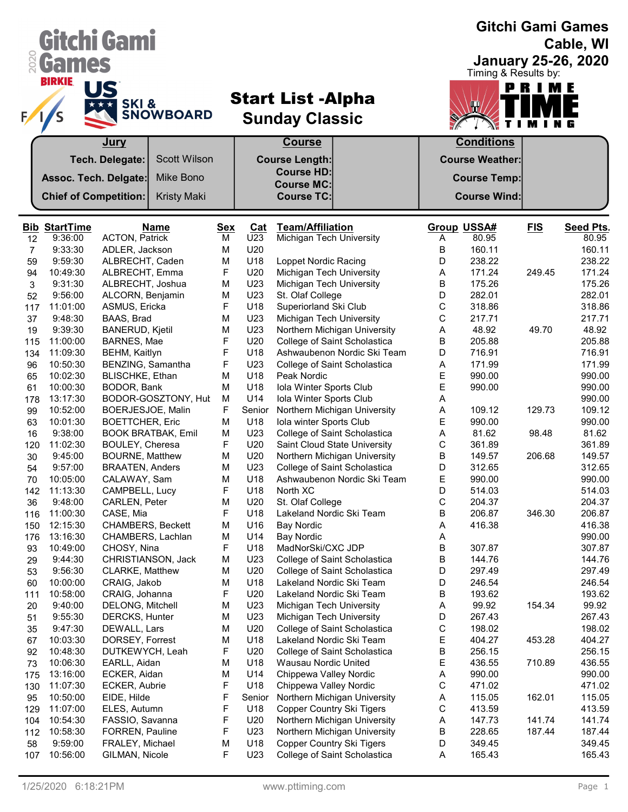|                | Gitchi Gami                     |                                     |                           |                 |            |                                                          |                              |        |                             |            | <b>Gitchi Gami Games</b><br>Cable, WI |
|----------------|---------------------------------|-------------------------------------|---------------------------|-----------------|------------|----------------------------------------------------------|------------------------------|--------|-----------------------------|------------|---------------------------------------|
|                | <b>&amp; Games</b>              |                                     |                           |                 |            |                                                          |                              |        |                             |            | <b>January 25-26, 2020</b>            |
|                | <b>BIRKIE</b>                   | SKI&                                | <b>SNOWBOARD</b>          |                 |            | <b>Start List -Alpha</b><br><b>Sunday Classic</b>        |                              |        | Timing & Results by:<br>T   | PRIME      |                                       |
|                |                                 | Jury                                |                           |                 |            | <b>Course</b>                                            |                              |        | <b>Conditions</b>           |            |                                       |
|                |                                 | Tech. Delegate:                     | <b>Scott Wilson</b>       |                 |            | <b>Course Length:</b>                                    |                              |        | <b>Course Weather:</b>      |            |                                       |
|                | Assoc. Tech. Delgate:           |                                     | Mike Bono                 |                 |            | <b>Course HD:</b><br><b>Course MC:</b>                   |                              |        | <b>Course Temp:</b>         |            |                                       |
|                | <b>Chief of Competition:</b>    |                                     | <b>Kristy Maki</b>        |                 |            | <b>Course TC:</b>                                        |                              |        | <b>Course Wind:</b>         |            |                                       |
|                |                                 |                                     |                           |                 |            |                                                          |                              |        |                             |            |                                       |
| 12             | <b>Bib StartTime</b><br>9:36:00 | <b>ACTON, Patrick</b>               | <b>Name</b>               | <b>Sex</b><br>М | Cat<br>U23 | <b>Team/Affiliation</b><br>Michigan Tech University      |                              | Α      | <b>Group USSA#</b><br>80.95 | <b>FIS</b> | <b>Seed Pts.</b><br>80.95             |
| $\overline{7}$ | 9:33:30                         | ADLER, Jackson                      |                           | М               | U20        |                                                          |                              | В      | 160.11                      |            | 160.11                                |
| 59             | 9:59:30                         | ALBRECHT, Caden                     |                           | M               | U18        | Loppet Nordic Racing                                     |                              | D      | 238.22                      |            | 238.22                                |
| 94             | 10:49:30                        | ALBRECHT, Emma                      |                           | F               | U20        | Michigan Tech University                                 |                              | Α      | 171.24                      | 249.45     | 171.24                                |
| 3              | 9:31:30                         | ALBRECHT, Joshua                    |                           | M               | U23        | Michigan Tech University                                 |                              | В      | 175.26                      |            | 175.26                                |
| 52             | 9:56:00                         | ALCORN, Benjamin                    |                           | М               | U23        | St. Olaf College                                         |                              | D      | 282.01                      |            | 282.01                                |
| 117            | 11:01:00                        | ASMUS, Ericka                       |                           | F               | U18        | Superiorland Ski Club                                    |                              | С      | 318.86                      |            | 318.86                                |
| 37             | 9:48:30                         | BAAS, Brad                          |                           | M               | U23        | Michigan Tech University                                 |                              | С      | 217.71                      |            | 217.71                                |
| 19             | 9:39:30                         | <b>BANERUD, Kjetil</b>              |                           | M               | U23        | Northern Michigan University                             |                              | Α      | 48.92                       | 49.70      | 48.92                                 |
| 115            | 11:00:00<br>11:09:30            | BARNES, Mae<br><b>BEHM, Kaitlyn</b> |                           | F<br>F          | U20<br>U18 | College of Saint Scholastica                             | Ashwaubenon Nordic Ski Team  | B<br>D | 205.88<br>716.91            |            | 205.88<br>716.91                      |
| 134<br>96      | 10:50:30                        | BENZING, Samantha                   |                           | F               | U23        | College of Saint Scholastica                             |                              | Α      | 171.99                      |            | 171.99                                |
| 65             | 10:02:30                        | BLISCHKE, Ethan                     |                           | M               | U18        | Peak Nordic                                              |                              | Ε      | 990.00                      |            | 990.00                                |
| 61             | 10:00:30                        | BODOR, Bank                         |                           | M               | U18        | Iola Winter Sports Club                                  |                              | E      | 990.00                      |            | 990.00                                |
| 178            | 13:17:30                        |                                     | BODOR-GOSZTONY, Hut       | M               | U14        | Iola Winter Sports Club                                  |                              | Α      |                             |            | 990.00                                |
| 99             | 10:52:00                        | BOERJESJOE, Malin                   |                           | F               | Senior     | Northern Michigan University                             |                              | Α      | 109.12                      | 129.73     | 109.12                                |
| 63             | 10:01:30                        | <b>BOETTCHER, Eric</b>              |                           | М               | U18        | Iola winter Sports Club                                  |                              | E      | 990.00                      |            | 990.00                                |
| 16             | 9:38:00                         |                                     | <b>BOOK BRATBAK, Emil</b> | M               | U23        | College of Saint Scholastica                             |                              | Α      | 81.62                       | 98.48      | 81.62                                 |
| 120            | 11:02:30                        | BOULEY, Cheresa                     |                           | F               | U20        | Saint Cloud State University                             |                              | С      | 361.89                      |            | 361.89                                |
| 30             | 9:45:00                         | <b>BOURNE, Matthew</b>              |                           | M               | U20        |                                                          | Northern Michigan University | В      | 149.57                      | 206.68     | 149.57                                |
| 54             | 9:57:00                         | <b>BRAATEN, Anders</b>              |                           | M               | U23        | College of Saint Scholastica                             |                              | D      | 312.65                      |            | 312.65                                |
| 70             | 10:05:00                        | CALAWAY, Sam                        |                           | М               | U18        |                                                          | Ashwaubenon Nordic Ski Team  | Е      | 990.00                      |            | 990.00                                |
| 142            | 11:13:30<br>9:48:00             | CAMPBELL, Lucy<br>CARLEN, Peter     |                           | F               | U18<br>U20 | North XC                                                 |                              | D<br>С | 514.03                      |            | 514.03<br>204.37                      |
| 36<br>116      | 11:00:30                        | CASE, Mia                           |                           | М<br>F          | U18        | St. Olaf College<br>Lakeland Nordic Ski Team             |                              | В      | 204.37<br>206.87            | 346.30     | 206.87                                |
| 150            | 12:15:30                        | CHAMBERS, Beckett                   |                           | М               | U16        | <b>Bay Nordic</b>                                        |                              | Α      | 416.38                      |            | 416.38                                |
| 176            | 13:16:30                        | CHAMBERS, Lachlan                   |                           | М               | U14        | <b>Bay Nordic</b>                                        |                              | Α      |                             |            | 990.00                                |
| 93             | 10:49:00                        | CHOSY, Nina                         |                           | F               | U18        | MadNorSki/CXC JDP                                        |                              | В      | 307.87                      |            | 307.87                                |
| 29             | 9:44:30                         |                                     | CHRISTIANSON, Jack        | М               | U23        | College of Saint Scholastica                             |                              | В      | 144.76                      |            | 144.76                                |
| 53             | 9:56:30                         | CLARKE, Matthew                     |                           | М               | U20        | College of Saint Scholastica                             |                              | D      | 297.49                      |            | 297.49                                |
| 60             | 10:00:00                        | CRAIG, Jakob                        |                           | М               | U18        | Lakeland Nordic Ski Team                                 |                              | D      | 246.54                      |            | 246.54                                |
| 111            | 10:58:00                        | CRAIG, Johanna                      |                           | F               | U20        | Lakeland Nordic Ski Team                                 |                              | В      | 193.62                      |            | 193.62                                |
| 20             | 9:40:00                         | DELONG, Mitchell                    |                           | M               | U23        | Michigan Tech University                                 |                              | Α      | 99.92                       | 154.34     | 99.92                                 |
| 51             | 9:55:30                         | DERCKS, Hunter                      |                           | M               | U23        | Michigan Tech University                                 |                              | D      | 267.43                      |            | 267.43                                |
| 35<br>67       | 9:47:30<br>10:03:30             | DEWALL, Lars<br>DORSEY, Forrest     |                           | М<br>М          | U20<br>U18 | College of Saint Scholastica<br>Lakeland Nordic Ski Team |                              | С<br>E | 198.02<br>404.27            | 453.28     | 198.02<br>404.27                      |
| 92             | 10:48:30                        | DUTKEWYCH, Leah                     |                           | F               | U20        | College of Saint Scholastica                             |                              | В      | 256.15                      |            | 256.15                                |
| 73             | 10:06:30                        | EARLL, Aidan                        |                           | М               | U18        | Wausau Nordic United                                     |                              | E      | 436.55                      | 710.89     | 436.55                                |
| 175            | 13:16:00                        | ECKER, Aidan                        |                           | М               | U14        | Chippewa Valley Nordic                                   |                              | Α      | 990.00                      |            | 990.00                                |
| 130            | 11:07:30                        | ECKER, Aubrie                       |                           | F               | U18        | Chippewa Valley Nordic                                   |                              | С      | 471.02                      |            | 471.02                                |
| 95             | 10:50:00                        | EIDE, Hilde                         |                           | F               | Senior     |                                                          | Northern Michigan University | Α      | 115.05                      | 162.01     | 115.05                                |
| 129            | 11:07:00                        | ELES, Autumn                        |                           | F               | U18        | <b>Copper Country Ski Tigers</b>                         |                              | С      | 413.59                      |            | 413.59                                |
| 104            | 10:54:30                        | FASSIO, Savanna                     |                           | F               | U20        |                                                          | Northern Michigan University | Α      | 147.73                      | 141.74     | 141.74                                |
| 112            | 10:58:30                        | FORREN, Pauline                     |                           | F               | U23        |                                                          | Northern Michigan University | В      | 228.65                      | 187.44     | 187.44                                |
| 58             | 9:59:00                         | FRALEY, Michael                     |                           | М               | U18        | <b>Copper Country Ski Tigers</b>                         |                              | D      | 349.45                      |            | 349.45                                |
| 107            | 10:56:00                        | GILMAN, Nicole                      |                           | F               | U23        | College of Saint Scholastica                             |                              | A      | 165.43                      |            | 165.43                                |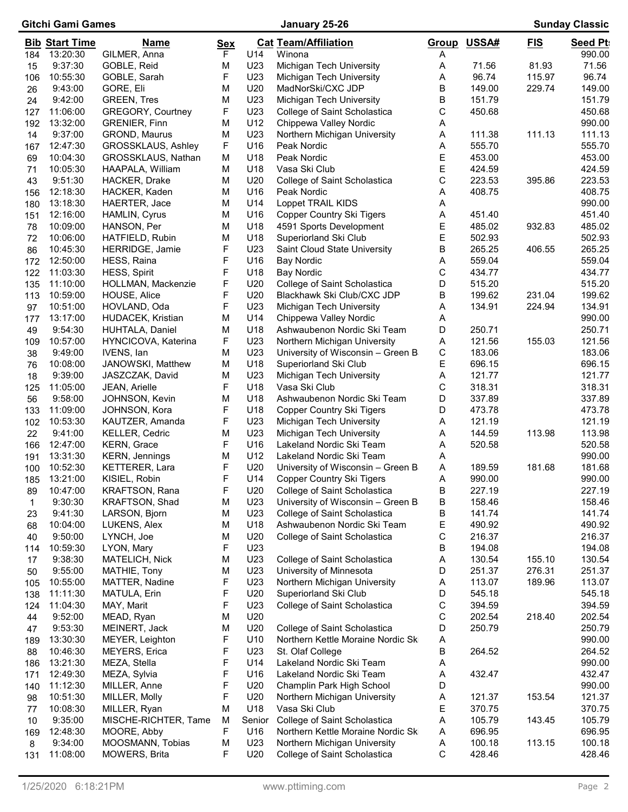| Gitchi Gami Games |                       |                                   | January 25-26 |                 |                                                                   |             | <b>Sunday Classic</b> |            |                  |  |
|-------------------|-----------------------|-----------------------------------|---------------|-----------------|-------------------------------------------------------------------|-------------|-----------------------|------------|------------------|--|
|                   | <b>Bib Start Time</b> | <u>Name</u>                       | <b>Sex</b>    |                 | <b>Cat Team/Affiliation</b>                                       |             | Group USSA#           | <u>FIS</u> | <b>Seed Pt</b>   |  |
| 184               | 13:20:30              | GILMER, Anna                      | F             | U14             | Winona                                                            | A           |                       |            | 990.00           |  |
| 15                | 9:37:30               | GOBLE, Reid                       | M             | U23             | Michigan Tech University                                          | A           | 71.56                 | 81.93      | 71.56            |  |
| 106               | 10:55:30              | GOBLE, Sarah                      | F             | U23             | Michigan Tech University                                          | A           | 96.74                 | 115.97     | 96.74            |  |
| 26                | 9:43:00               | GORE, Eli                         | M             | U20             | MadNorSki/CXC JDP                                                 | B           | 149.00                | 229.74     | 149.00           |  |
| 24                | 9:42:00               | <b>GREEN, Tres</b>                | M             | U23             | Michigan Tech University                                          | B           | 151.79                |            | 151.79           |  |
| 127               | 11:06:00              | <b>GREGORY, Courtney</b>          | F             | U23             | College of Saint Scholastica                                      | С           | 450.68                |            | 450.68           |  |
| 192               | 13:32:00              | <b>GRENIER, Finn</b>              | M             | U12             | Chippewa Valley Nordic                                            | Α           |                       |            | 990.00           |  |
| 14                | 9:37:00               | GROND, Maurus                     | M             | U23             | Northern Michigan University                                      | A           | 111.38                | 111.13     | 111.13           |  |
| 167               | 12:47:30              | GROSSKLAUS, Ashley                | F             | U16             | Peak Nordic                                                       | Α           | 555.70                |            | 555.70           |  |
| 69                | 10:04:30              | GROSSKLAUS, Nathan                | M             | U18             | Peak Nordic                                                       | E           | 453.00                |            | 453.00           |  |
| 71                | 10:05:30              | HAAPALA, William                  | M             | U18             | Vasa Ski Club                                                     | E           | 424.59                |            | 424.59           |  |
| 43                | 9:51:30               | HACKER, Drake                     | M             | U20             | College of Saint Scholastica                                      | С           | 223.53                | 395.86     | 223.53           |  |
| 156               | 12:18:30              | HACKER, Kaden                     | M             | U16             | Peak Nordic                                                       | Α           | 408.75                |            | 408.75           |  |
| 180               | 13:18:30              | HAERTER, Jace                     | M             | U14             | Loppet TRAIL KIDS                                                 | A           |                       |            | 990.00           |  |
| 151               | 12:16:00              | HAMLIN, Cyrus                     | M             | U16             | <b>Copper Country Ski Tigers</b>                                  | Α           | 451.40                |            | 451.40           |  |
| 78                | 10:09:00              | HANSON, Per                       | M             | U <sub>18</sub> | 4591 Sports Development                                           | E           | 485.02                | 932.83     | 485.02           |  |
| 72                | 10:06:00              | HATFIELD, Rubin                   | M             | U18             | Superiorland Ski Club                                             | E           | 502.93                |            | 502.93           |  |
| 86                | 10:45:30              | HERRIDGE, Jamie                   | F             | U23             | Saint Cloud State University                                      | В           | 265.25                | 406.55     | 265.25           |  |
| 172               | 12:50:00              | HESS, Raina                       | F             | U16             | Bay Nordic                                                        | Α           | 559.04                |            | 559.04           |  |
| 122               | 11:03:30              | <b>HESS, Spirit</b>               | F             | U18             | <b>Bay Nordic</b>                                                 | С           | 434.77                |            | 434.77           |  |
| 135               | 11:10:00              | HOLLMAN, Mackenzie                | F             | U20             | College of Saint Scholastica                                      | D           | 515.20                |            | 515.20           |  |
| 113               | 10:59:00              | HOUSE, Alice                      | F<br>F        | U20             | Blackhawk Ski Club/CXC JDP                                        | В           | 199.62                | 231.04     | 199.62           |  |
| 97                | 10:51:00              | HOVLAND, Oda                      |               | U23             | Michigan Tech University                                          | Α           | 134.91                | 224.94     | 134.91           |  |
| 177               | 13:17:00<br>9:54:30   | <b>HUDACEK, Kristian</b>          | M<br>M        | U14<br>U18      | Chippewa Valley Nordic<br>Ashwaubenon Nordic Ski Team             | Α<br>D      | 250.71                |            | 990.00<br>250.71 |  |
| 49                | 10:57:00              | HUHTALA, Daniel                   | F             | U23             |                                                                   | Α           | 121.56                | 155.03     | 121.56           |  |
| 109               | 9:49:00               | HYNCICOVA, Katerina<br>IVENS, lan | M             | U23             | Northern Michigan University<br>University of Wisconsin - Green B | С           | 183.06                |            | 183.06           |  |
| 38                | 10:08:00              | JANOWSKI, Matthew                 | M             | U18             | Superiorland Ski Club                                             | E           | 696.15                |            | 696.15           |  |
| 76<br>18          | 9:39:00               | JASZCZAK, David                   | M             | U23             | Michigan Tech University                                          | Α           | 121.77                |            | 121.77           |  |
|                   | 11:05:00              | JEAN, Arielle                     | F             | U18             | Vasa Ski Club                                                     | С           | 318.31                |            | 318.31           |  |
| 125<br>56         | 9:58:00               | JOHNSON, Kevin                    | M             | U18             | Ashwaubenon Nordic Ski Team                                       | D           | 337.89                |            | 337.89           |  |
| 133               | 11:09:00              | JOHNSON, Kora                     | F             | U18             | <b>Copper Country Ski Tigers</b>                                  | D           | 473.78                |            | 473.78           |  |
| 102               | 10:53:30              | KAUTZER, Amanda                   | F             | U23             | Michigan Tech University                                          | Α           | 121.19                |            | 121.19           |  |
| 22                | 9:41:00               | KELLER, Cedric                    | M             | U23             | Michigan Tech University                                          | Α           | 144.59                | 113.98     | 113.98           |  |
| 166               | 12:47:00              | KERN, Grace                       | F             | U16             | Lakeland Nordic Ski Team                                          | Α           | 520.58                |            | 520.58           |  |
| 191               | 13:31:30              | KERN, Jennings                    | M             | U12             | Lakeland Nordic Ski Team                                          | Α           |                       |            | 990.00           |  |
| 100               | 10:52:30              | KETTERER, Lara                    | F             | U20             | University of Wisconsin - Green B                                 | A           | 189.59                | 181.68     | 181.68           |  |
| 185               | 13:21:00              | KISIEL, Robin                     | F             | U14             | <b>Copper Country Ski Tigers</b>                                  | Α           | 990.00                |            | 990.00           |  |
| 89                | 10:47:00              | KRAFTSON, Rana                    | F             | U20             | College of Saint Scholastica                                      | В           | 227.19                |            | 227.19           |  |
| 1                 | 9:30:30               | KRAFTSON, Shad                    | M             | U23             | University of Wisconsin - Green B                                 | В           | 158.46                |            | 158.46           |  |
| 23                | 9:41:30               | LARSON, Bjorn                     | M             | U23             | College of Saint Scholastica                                      | В           | 141.74                |            | 141.74           |  |
| 68                | 10:04:00              | LUKENS, Alex                      | M             | U18             | Ashwaubenon Nordic Ski Team                                       | E           | 490.92                |            | 490.92           |  |
| 40                | 9:50:00               | LYNCH, Joe                        | M             | U20             | College of Saint Scholastica                                      | С           | 216.37                |            | 216.37           |  |
| 114               | 10:59:30              | LYON, Mary                        | F             | U23             |                                                                   | В           | 194.08                |            | 194.08           |  |
| 17                | 9:38:30               | MATELICH, Nick                    | M             | U23             | College of Saint Scholastica                                      | Α           | 130.54                | 155.10     | 130.54           |  |
| 50                | 9:55:00               | MATHIE, Tony                      | M             | U23             | University of Minnesota                                           | D           | 251.37                | 276.31     | 251.37           |  |
| 105               | 10:55:00              | MATTER, Nadine                    | F             | U23             | Northern Michigan University                                      | Α           | 113.07                | 189.96     | 113.07           |  |
| 138               | 11:11:30              | MATULA, Erin                      | F             | U20             | Superiorland Ski Club                                             | D           | 545.18                |            | 545.18           |  |
| 124               | 11:04:30              | MAY, Marit                        | F             | U23             | College of Saint Scholastica                                      | С           | 394.59                |            | 394.59           |  |
| 44                | 9:52:00               | MEAD, Ryan                        | M             | U20             |                                                                   | C           | 202.54                | 218.40     | 202.54           |  |
| 47                | 9:53:30               | MEINERT, Jack                     | M             | U20             | College of Saint Scholastica                                      | D           | 250.79                |            | 250.79           |  |
| 189               | 13:30:30              | MEYER, Leighton                   | F             | U10             | Northern Kettle Moraine Nordic Sk                                 | Α           |                       |            | 990.00           |  |
| 88                | 10:46:30              | <b>MEYERS, Erica</b>              | F             | U23             | St. Olaf College                                                  | В           | 264.52                |            | 264.52           |  |
| 186               | 13:21:30              | MEZA, Stella                      | F             | U14             | Lakeland Nordic Ski Team                                          | Α           |                       |            | 990.00           |  |
| 171               | 12:49:30              | MEZA, Sylvia                      | F             | U16             | Lakeland Nordic Ski Team                                          | Α           | 432.47                |            | 432.47           |  |
| 140               | 11:12:30              | MILLER, Anne                      | F             | U20             | Champlin Park High School                                         | D           |                       |            | 990.00           |  |
| 98                | 10:51:30              | MILLER, Molly                     | F             | U20             | Northern Michigan University                                      | Α           | 121.37                | 153.54     | 121.37           |  |
| 77                | 10:08:30              | MILLER, Ryan                      | M             | U18             | Vasa Ski Club                                                     | Ε           | 370.75                |            | 370.75           |  |
| 10                | 9:35:00               | MISCHE-RICHTER, Tame              | M             | Senior          | College of Saint Scholastica                                      | Α           | 105.79                | 143.45     | 105.79           |  |
| 169               | 12:48:30              | MOORE, Abby                       | F             | U16             | Northern Kettle Moraine Nordic Sk                                 | A           | 696.95                |            | 696.95           |  |
| 8                 | 9:34:00               | MOOSMANN, Tobias                  | М             | U23             | Northern Michigan University                                      | Α           | 100.18                | 113.15     | 100.18           |  |
| 131               | 11:08:00              | MOWERS, Brita                     | F             | U20             | College of Saint Scholastica                                      | $\mathsf C$ | 428.46                |            | 428.46           |  |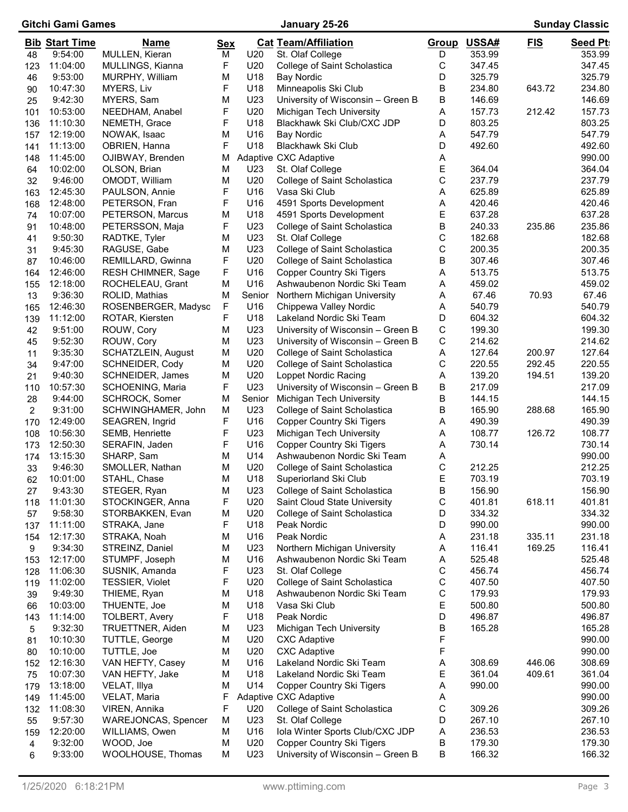# Gitchi Gami Games January 25-26 Sunday Classic

|            | <b>Bib Start Time</b> | <u>Name</u>                          | <b>Sex</b> |                 | <b>Cat Team/Affiliation</b>                                   | Group  | USSA#            | <u>FIS</u> | <b>Seed Pt</b>   |
|------------|-----------------------|--------------------------------------|------------|-----------------|---------------------------------------------------------------|--------|------------------|------------|------------------|
| 48         | 9:54:00<br>11:04:00   | MULLEN, Kieran                       | М          | U20<br>U20      | St. Olaf College                                              | D      | 353.99<br>347.45 |            | 353.99<br>347.45 |
| 123        | 9:53:00               | MULLINGS, Kianna                     | F<br>M     | U18             | College of Saint Scholastica<br><b>Bay Nordic</b>             | C<br>D | 325.79           |            | 325.79           |
| 46<br>90   | 10:47:30              | MURPHY, William<br>MYERS, Liv        | F          | U18             | Minneapolis Ski Club                                          | В      | 234.80           | 643.72     | 234.80           |
| 25         | 9:42:30               | MYERS, Sam                           | M          | U23             | University of Wisconsin - Green B                             | В      | 146.69           |            | 146.69           |
| 101        | 10:53:00              | NEEDHAM, Anabel                      | F          | U20             | Michigan Tech University                                      | Α      | 157.73           | 212.42     | 157.73           |
| 136        | 11:10:30              | NEMETH, Grace                        | F          | U18             | Blackhawk Ski Club/CXC JDP                                    | D      | 803.25           |            | 803.25           |
| 157        | 12:19:00              | NOWAK, Isaac                         | М          | U16             | Bay Nordic                                                    | A      | 547.79           |            | 547.79           |
| 141        | 11:13:00              | OBRIEN, Hanna                        | F          | U18             | Blackhawk Ski Club                                            | D      | 492.60           |            | 492.60           |
| 148        | 11:45:00              | OJIBWAY, Brenden                     | М          |                 | Adaptive CXC Adaptive                                         | A      |                  |            | 990.00           |
| 64         | 10:02:00              | OLSON, Brian                         | M          | U23             | St. Olaf College                                              | Ε      | 364.04           |            | 364.04           |
| 32         | 9:46:00               | OMODT, William                       | M          | U20             | College of Saint Scholastica                                  | С      | 237.79           |            | 237.79           |
| 163        | 12:45:30              | PAULSON, Annie                       | F          | U16             | Vasa Ski Club                                                 | Α      | 625.89           |            | 625.89           |
| 168        | 12:48:00              | PETERSON, Fran                       | F          | U16             | 4591 Sports Development                                       | Α      | 420.46           |            | 420.46           |
| 74         | 10:07:00              | PETERSON, Marcus                     | М          | U18             | 4591 Sports Development                                       | Ε      | 637.28           |            | 637.28           |
| 91         | 10:48:00              | PETERSSON, Maja                      | F          | U23             | College of Saint Scholastica                                  | В      | 240.33           | 235.86     | 235.86           |
| 41         | 9:50:30               | RADTKE, Tyler                        | M          | U23             | St. Olaf College                                              | С      | 182.68           |            | 182.68           |
| 31         | 9:45:30               | RAGUSE, Gabe                         | M          | U23             | College of Saint Scholastica                                  | C      | 200.35           |            | 200.35           |
| 87         | 10:46:00              | REMILLARD, Gwinna                    | F          | U20             | College of Saint Scholastica                                  | В      | 307.46           |            | 307.46           |
| 164        | 12:46:00              | <b>RESH CHIMNER, Sage</b>            | F          | U16             | <b>Copper Country Ski Tigers</b>                              | Α      | 513.75           |            | 513.75           |
| 155        | 12:18:00              | ROCHELEAU, Grant                     | M          | U16             | Ashwaubenon Nordic Ski Team                                   | Α      | 459.02           |            | 459.02           |
| 13         | 9:36:30               | ROLID, Mathias                       | M          | Senior          | Northern Michigan University                                  | Α      | 67.46            | 70.93      | 67.46            |
| 165        | 12:46:30              | ROSENBERGER, Madysc                  | F          | U16             | Chippewa Valley Nordic                                        | A      | 540.79           |            | 540.79           |
| 139        | 11:12:00              | ROTAR, Kiersten                      | F          | U18             | Lakeland Nordic Ski Team                                      | D      | 604.32           |            | 604.32           |
| 42         | 9:51:00               | ROUW, Cory                           | M          | U23             | University of Wisconsin - Green B                             | С      | 199.30           |            | 199.30           |
| 45         | 9:52:30               | ROUW, Cory                           | M          | U23             | University of Wisconsin - Green B                             | C      | 214.62           |            | 214.62           |
| 11         | 9:35:30               | SCHATZLEIN, August                   | M          | U20             | College of Saint Scholastica                                  | Α      | 127.64           | 200.97     | 127.64           |
| 34         | 9:47:00               | SCHNEIDER, Cody                      | M          | U20             | College of Saint Scholastica                                  | С      | 220.55           | 292.45     | 220.55           |
| 21         | 9:40:30               | SCHNEIDER, James                     | M<br>F     | U20<br>U23      | Loppet Nordic Racing                                          | Α      | 139.20<br>217.09 | 194.51     | 139.20<br>217.09 |
| 110        | 10:57:30<br>9:44:00   | SCHOENING, Maria                     | M          | Senior          | University of Wisconsin – Green B<br>Michigan Tech University | В<br>В | 144.15           |            | 144.15           |
| 28<br>2    | 9:31:00               | SCHROCK, Somer<br>SCHWINGHAMER, John | M          | U23             | College of Saint Scholastica                                  | В      | 165.90           | 288.68     | 165.90           |
| 170        | 12:49:00              | SEAGREN, Ingrid                      | F          | U16             | <b>Copper Country Ski Tigers</b>                              | Α      | 490.39           |            | 490.39           |
| 108        | 10:56:30              | SEMB, Henriette                      | F          | U23             | Michigan Tech University                                      | A      | 108.77           | 126.72     | 108.77           |
| 173        | 12:50:30              | SERAFIN, Jaden                       | F          | U16             | <b>Copper Country Ski Tigers</b>                              | A      | 730.14           |            | 730.14           |
| 174        | 13:15:30              | SHARP, Sam                           | M          | U14             | Ashwaubenon Nordic Ski Team                                   | A      |                  |            | 990.00           |
| 33         | 9:46:30               | SMOLLER, Nathan                      | M          | U20             | College of Saint Scholastica                                  | С      | 212.25           |            | 212.25           |
| 62         | 10:01:00              | STAHL, Chase                         | M          | U18             | Superiorland Ski Club                                         | Ε      | 703.19           |            | 703.19           |
| 27         | 9:43:30               | STEGER, Ryan                         | M          | U <sub>23</sub> | College of Saint Scholastica                                  | B      | 156.90           |            | 156.90           |
| 118        | 11:01:30              | STOCKINGER, Anna                     | F          | U20             | Saint Cloud State University                                  | C      | 401.81           | 618.11     | 401.81           |
| 57         | 9:58:30               | STORBAKKEN, Evan                     | М          | U20             | College of Saint Scholastica                                  | D      | 334.32           |            | 334.32           |
| 137        | 11:11:00              | STRAKA, Jane                         | F          | U18             | Peak Nordic                                                   | D      | 990.00           |            | 990.00           |
| 154        | 12:17:30              | STRAKA, Noah                         | M          | U16             | Peak Nordic                                                   | Α      | 231.18           | 335.11     | 231.18           |
| 9          | 9:34:30               | STREINZ, Daniel                      | M          | U23             | Northern Michigan University                                  | Α      | 116.41           | 169.25     | 116.41           |
| 153        | 12:17:00              | STUMPF, Joseph                       | M          | U16             | Ashwaubenon Nordic Ski Team                                   | A      | 525.48           |            | 525.48           |
| 128        | 11:06:30              | SUSNIK, Amanda                       | F          | U23             | St. Olaf College                                              | C      | 456.74           |            | 456.74           |
| 119        | 11:02:00              | TESSIER, Violet                      | F          | U20             | College of Saint Scholastica                                  | C      | 407.50           |            | 407.50           |
| 39         | 9:49:30               | THIEME, Ryan                         | M          | U18             | Ashwaubenon Nordic Ski Team                                   | С      | 179.93           |            | 179.93           |
| 66         | 10:03:00              | THUENTE, Joe                         | M          | U18             | Vasa Ski Club                                                 | Е      | 500.80           |            | 500.80           |
| 143        | 11:14:00              | <b>TOLBERT, Avery</b>                | F          | U18             | Peak Nordic                                                   | D      | 496.87           |            | 496.87           |
| 5          | 9:32:30               | TRUETTNER, Aiden                     | M          | U23             | Michigan Tech University                                      | В      | 165.28           |            | 165.28           |
| 81         | 10:10:30              | TUTTLE, George                       | М          | U20             | <b>CXC Adaptive</b>                                           | F      |                  |            | 990.00           |
| 80         | 10:10:00              | TUTTLE, Joe                          | М          | U20             | <b>CXC Adaptive</b>                                           | F      |                  |            | 990.00           |
| 152        | 12:16:30              | VAN HEFTY, Casey                     | М          | U16             | Lakeland Nordic Ski Team                                      | Α      | 308.69           | 446.06     | 308.69           |
| 75         | 10:07:30              | VAN HEFTY, Jake                      | М          | U18<br>U14      | Lakeland Nordic Ski Team                                      | Е<br>A | 361.04           | 409.61     | 361.04           |
| 179        | 13:18:00<br>11:45:00  | VELAT, Illya<br>VELAT, Maria         | M<br>F     |                 | <b>Copper Country Ski Tigers</b><br>Adaptive CXC Adaptive     | A      | 990.00           |            | 990.00<br>990.00 |
| 149<br>132 | 11:08:30              | VIREN, Annika                        | F          | U20             | College of Saint Scholastica                                  | C      | 309.26           |            | 309.26           |
| 55         | 9:57:30               | <b>WAREJONCAS, Spencer</b>           | M          | U23             | St. Olaf College                                              | D      | 267.10           |            | 267.10           |
| 159        | 12:20:00              | WILLIAMS, Owen                       | M          | U16             | Iola Winter Sports Club/CXC JDP                               | Α      | 236.53           |            | 236.53           |
| 4          | 9:32:00               | WOOD, Joe                            | M          | U20             | <b>Copper Country Ski Tigers</b>                              | В      | 179.30           |            | 179.30           |
| 6          | 9:33:00               | WOOLHOUSE, Thomas                    | M          | U23             | University of Wisconsin - Green B                             | В      | 166.32           |            | 166.32           |